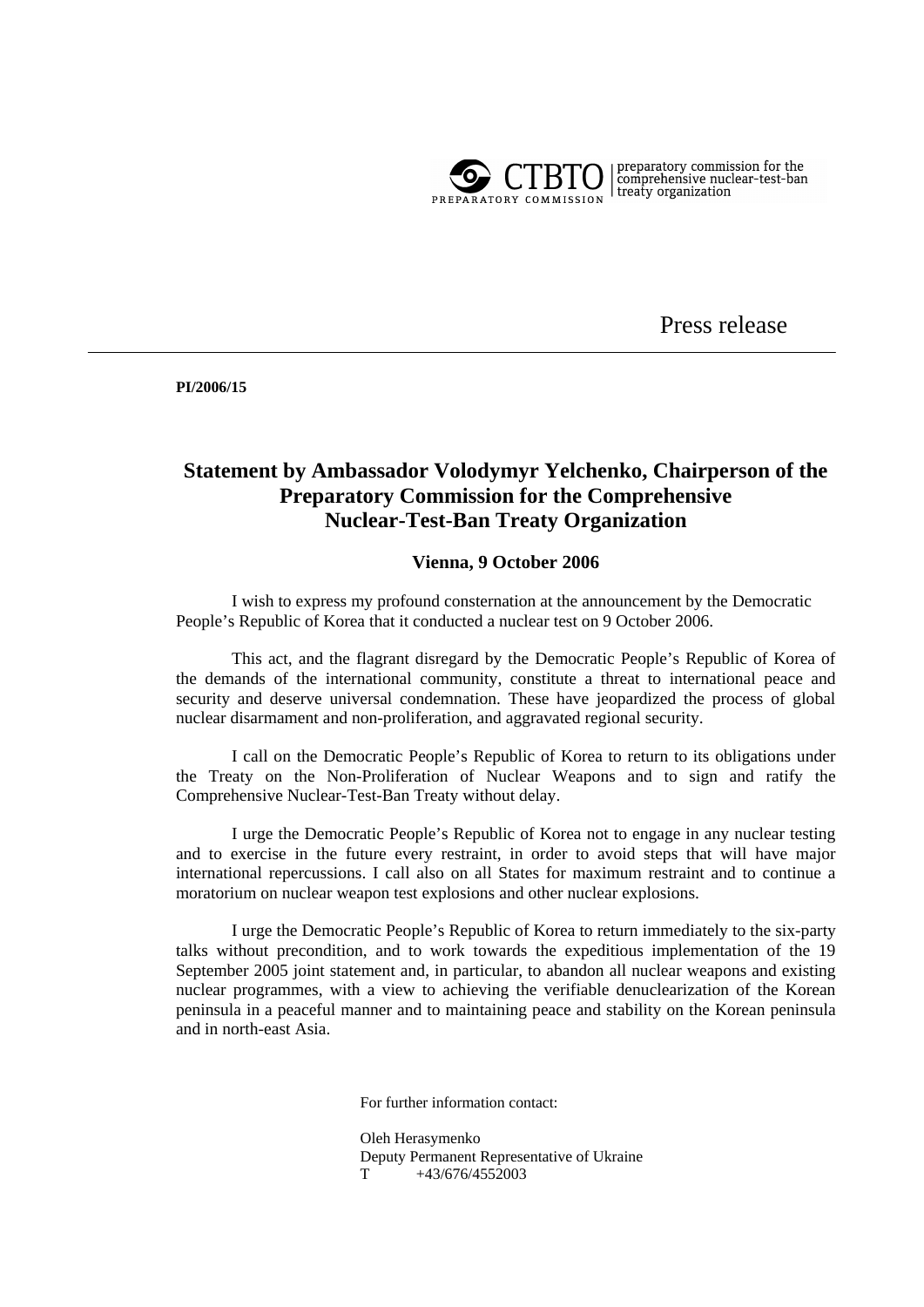

 $\left| \begin{array}{l} \text{preparatory commission for the} \\ \text{comprehensive nuclear-test-band} \\ \text{treaty organization} \end{array} \right.$ 

Press release

**PI/2006/15** 

## **Statement by Ambassador Volodymyr Yelchenko, Chairperson of the Preparatory Commission for the Comprehensive Nuclear-Test-Ban Treaty Organization**

## **Vienna, 9 October 2006**

 I wish to express my profound consternation at the announcement by the Democratic People's Republic of Korea that it conducted a nuclear test on 9 October 2006.

 This act, and the flagrant disregard by the Democratic People's Republic of Korea of the demands of the international community, constitute a threat to international peace and security and deserve universal condemnation. These have jeopardized the process of global nuclear disarmament and non-proliferation, and aggravated regional security.

 I call on the Democratic People's Republic of Korea to return to its obligations under the Treaty on the Non-Proliferation of Nuclear Weapons and to sign and ratify the Comprehensive Nuclear-Test-Ban Treaty without delay.

 I urge the Democratic People's Republic of Korea not to engage in any nuclear testing and to exercise in the future every restraint, in order to avoid steps that will have major international repercussions. I call also on all States for maximum restraint and to continue a moratorium on nuclear weapon test explosions and other nuclear explosions.

 I urge the Democratic People's Republic of Korea to return immediately to the six-party talks without precondition, and to work towards the expeditious implementation of the 19 September 2005 joint statement and, in particular, to abandon all nuclear weapons and existing nuclear programmes, with a view to achieving the verifiable denuclearization of the Korean peninsula in a peaceful manner and to maintaining peace and stability on the Korean peninsula and in north-east Asia.

For further information contact:

Oleh Herasymenko Deputy Permanent Representative of Ukraine  $T$  +43/676/4552003